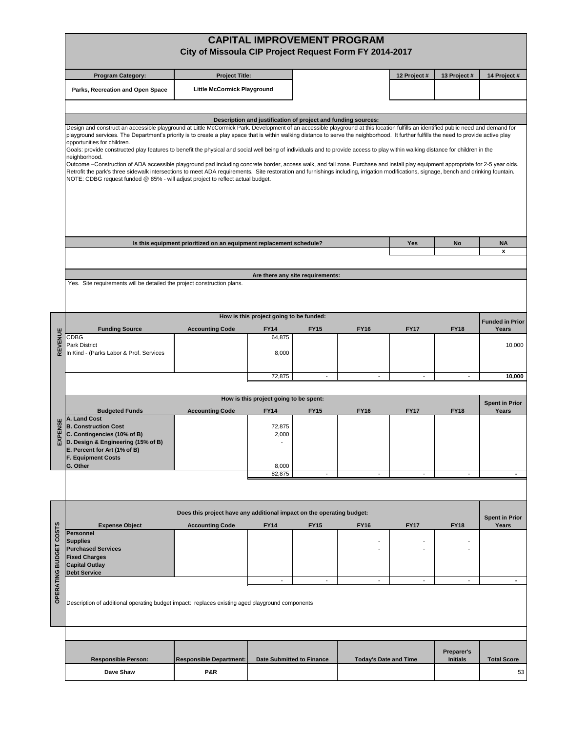|                                                                                                                                                                      |                                                                                                                                                                                                                                                                                                                                                                                                                                                                                                                                                                                                                                                                                                                                                                                                                                                                                                                                                                                                                                                                                   | City of Missoula CIP Project Request Form FY 2014-2017                                                                                                                                                                                                        |                                                               |                                  | <b>CAPITAL IMPROVEMENT PROGRAM</b> |                          |                          |                        |  |  |  |  |  |
|----------------------------------------------------------------------------------------------------------------------------------------------------------------------|-----------------------------------------------------------------------------------------------------------------------------------------------------------------------------------------------------------------------------------------------------------------------------------------------------------------------------------------------------------------------------------------------------------------------------------------------------------------------------------------------------------------------------------------------------------------------------------------------------------------------------------------------------------------------------------------------------------------------------------------------------------------------------------------------------------------------------------------------------------------------------------------------------------------------------------------------------------------------------------------------------------------------------------------------------------------------------------|---------------------------------------------------------------------------------------------------------------------------------------------------------------------------------------------------------------------------------------------------------------|---------------------------------------------------------------|----------------------------------|------------------------------------|--------------------------|--------------------------|------------------------|--|--|--|--|--|
|                                                                                                                                                                      | <b>Program Category:</b>                                                                                                                                                                                                                                                                                                                                                                                                                                                                                                                                                                                                                                                                                                                                                                                                                                                                                                                                                                                                                                                          | <b>Project Title:</b>                                                                                                                                                                                                                                         |                                                               |                                  |                                    | 12 Project #             | 13 Project #             | 14 Project #           |  |  |  |  |  |
|                                                                                                                                                                      | Parks, Recreation and Open Space                                                                                                                                                                                                                                                                                                                                                                                                                                                                                                                                                                                                                                                                                                                                                                                                                                                                                                                                                                                                                                                  | Little McCormick Playground                                                                                                                                                                                                                                   |                                                               |                                  |                                    |                          |                          |                        |  |  |  |  |  |
|                                                                                                                                                                      |                                                                                                                                                                                                                                                                                                                                                                                                                                                                                                                                                                                                                                                                                                                                                                                                                                                                                                                                                                                                                                                                                   |                                                                                                                                                                                                                                                               |                                                               |                                  |                                    |                          |                          |                        |  |  |  |  |  |
|                                                                                                                                                                      |                                                                                                                                                                                                                                                                                                                                                                                                                                                                                                                                                                                                                                                                                                                                                                                                                                                                                                                                                                                                                                                                                   |                                                                                                                                                                                                                                                               | Description and justification of project and funding sources: |                                  |                                    |                          |                          |                        |  |  |  |  |  |
|                                                                                                                                                                      | Design and construct an accessible playground at Little McCormick Park. Development of an accessible playground at this location fulfills an identified public need and demand for<br>playground services. The Department's priority is to create a play space that is within walking distance to serve the neighborhood. It further fulfills the need to provide active play<br>opportunities for children.<br>Goals: provide constructed play features to benefit the physical and social well being of individuals and to provide access to play within walking distance for children in the<br>neighborhood.<br>Outcome -Construction of ADA accessible playground pad including concrete border, access walk, and fall zone. Purchase and install play equipment appropriate for 2-5 year olds.<br>Retrofit the park's three sidewalk intersections to meet ADA requirements. Site restoration and furnishings including, irrigation modifications, signage, bench and drinking fountain.<br>NOTE: CDBG request funded @ 85% - will adjust project to reflect actual budget. |                                                                                                                                                                                                                                                               |                                                               |                                  |                                    |                          |                          |                        |  |  |  |  |  |
|                                                                                                                                                                      |                                                                                                                                                                                                                                                                                                                                                                                                                                                                                                                                                                                                                                                                                                                                                                                                                                                                                                                                                                                                                                                                                   | Is this equipment prioritized on an equipment replacement schedule?                                                                                                                                                                                           |                                                               |                                  |                                    | Yes                      | No                       | <b>NA</b>              |  |  |  |  |  |
|                                                                                                                                                                      |                                                                                                                                                                                                                                                                                                                                                                                                                                                                                                                                                                                                                                                                                                                                                                                                                                                                                                                                                                                                                                                                                   |                                                                                                                                                                                                                                                               |                                                               |                                  |                                    |                          |                          | $\pmb{\mathsf{x}}$     |  |  |  |  |  |
|                                                                                                                                                                      |                                                                                                                                                                                                                                                                                                                                                                                                                                                                                                                                                                                                                                                                                                                                                                                                                                                                                                                                                                                                                                                                                   |                                                                                                                                                                                                                                                               |                                                               | Are there any site requirements: |                                    |                          |                          |                        |  |  |  |  |  |
|                                                                                                                                                                      | Yes. Site requirements will be detailed the project construction plans.                                                                                                                                                                                                                                                                                                                                                                                                                                                                                                                                                                                                                                                                                                                                                                                                                                                                                                                                                                                                           |                                                                                                                                                                                                                                                               |                                                               |                                  |                                    |                          |                          |                        |  |  |  |  |  |
|                                                                                                                                                                      |                                                                                                                                                                                                                                                                                                                                                                                                                                                                                                                                                                                                                                                                                                                                                                                                                                                                                                                                                                                                                                                                                   |                                                                                                                                                                                                                                                               | How is this project going to be funded:                       |                                  |                                    |                          |                          | <b>Funded in Prior</b> |  |  |  |  |  |
| <b>TENUE</b>                                                                                                                                                         | <b>Funding Source</b><br>CDBG                                                                                                                                                                                                                                                                                                                                                                                                                                                                                                                                                                                                                                                                                                                                                                                                                                                                                                                                                                                                                                                     | <b>Accounting Code</b>                                                                                                                                                                                                                                        | <b>FY14</b><br>64,875                                         | <b>FY15</b>                      | <b>FY16</b>                        | <b>FY17</b>              | <b>FY18</b>              | Years                  |  |  |  |  |  |
| REV                                                                                                                                                                  | Park District<br>In Kind - (Parks Labor & Prof. Services                                                                                                                                                                                                                                                                                                                                                                                                                                                                                                                                                                                                                                                                                                                                                                                                                                                                                                                                                                                                                          |                                                                                                                                                                                                                                                               | 8,000                                                         |                                  |                                    |                          |                          | 10,000                 |  |  |  |  |  |
|                                                                                                                                                                      |                                                                                                                                                                                                                                                                                                                                                                                                                                                                                                                                                                                                                                                                                                                                                                                                                                                                                                                                                                                                                                                                                   |                                                                                                                                                                                                                                                               | 72,875                                                        | $\overline{\phantom{a}}$         | $\overline{\phantom{a}}$           | $\overline{\phantom{a}}$ | $\overline{\phantom{a}}$ | 10,000                 |  |  |  |  |  |
| How is this project going to be spent:<br><b>Spent in Prior</b><br><b>Accounting Code</b><br><b>FY14</b><br><b>FY15</b><br><b>FY16</b><br><b>FY17</b><br><b>FY18</b> |                                                                                                                                                                                                                                                                                                                                                                                                                                                                                                                                                                                                                                                                                                                                                                                                                                                                                                                                                                                                                                                                                   |                                                                                                                                                                                                                                                               |                                                               |                                  |                                    |                          |                          |                        |  |  |  |  |  |
| <b>EXPENS</b>                                                                                                                                                        | <b>Budgeted Funds</b><br>A. Land Cost<br><b>B. Construction Cost</b><br>C. Contingencies (10% of B)<br>D. Design & Engineering (15% of B)<br>E. Percent for Art (1% of B)<br><b>F. Equipment Costs</b><br>G. Other                                                                                                                                                                                                                                                                                                                                                                                                                                                                                                                                                                                                                                                                                                                                                                                                                                                                |                                                                                                                                                                                                                                                               | 72,875<br>2,000<br>8,000                                      |                                  |                                    |                          |                          | Years                  |  |  |  |  |  |
|                                                                                                                                                                      |                                                                                                                                                                                                                                                                                                                                                                                                                                                                                                                                                                                                                                                                                                                                                                                                                                                                                                                                                                                                                                                                                   |                                                                                                                                                                                                                                                               | 82,875                                                        |                                  | $\overline{a}$                     |                          | $\overline{\phantom{a}}$ |                        |  |  |  |  |  |
|                                                                                                                                                                      | Does this project have any additional impact on the operating budget:<br><b>FY17</b><br><b>FY18</b><br><b>Expense Object</b><br><b>Accounting Code</b><br><b>FY14</b><br><b>FY15</b><br><b>FY16</b>                                                                                                                                                                                                                                                                                                                                                                                                                                                                                                                                                                                                                                                                                                                                                                                                                                                                               |                                                                                                                                                                                                                                                               |                                                               |                                  |                                    |                          |                          |                        |  |  |  |  |  |
| <b>COSTS</b><br><b>BUDGET</b><br><b>OPERATING</b>                                                                                                                    | Personnel<br><b>Supplies</b><br><b>Purchased Services</b><br><b>Fixed Charges</b><br><b>Capital Outlay</b><br><b>Debt Service</b>                                                                                                                                                                                                                                                                                                                                                                                                                                                                                                                                                                                                                                                                                                                                                                                                                                                                                                                                                 |                                                                                                                                                                                                                                                               |                                                               |                                  |                                    |                          |                          | Years                  |  |  |  |  |  |
|                                                                                                                                                                      |                                                                                                                                                                                                                                                                                                                                                                                                                                                                                                                                                                                                                                                                                                                                                                                                                                                                                                                                                                                                                                                                                   | $\overline{\phantom{a}}$<br>$\overline{\phantom{a}}$<br>$\overline{\phantom{a}}$<br>$\overline{\phantom{a}}$<br>$\overline{\phantom{a}}$<br>$\blacksquare$<br>Description of additional operating budget impact: replaces existing aged playground components |                                                               |                                  |                                    |                          |                          |                        |  |  |  |  |  |
|                                                                                                                                                                      |                                                                                                                                                                                                                                                                                                                                                                                                                                                                                                                                                                                                                                                                                                                                                                                                                                                                                                                                                                                                                                                                                   |                                                                                                                                                                                                                                                               |                                                               |                                  |                                    |                          |                          |                        |  |  |  |  |  |
|                                                                                                                                                                      |                                                                                                                                                                                                                                                                                                                                                                                                                                                                                                                                                                                                                                                                                                                                                                                                                                                                                                                                                                                                                                                                                   |                                                                                                                                                                                                                                                               |                                                               |                                  |                                    |                          | Preparer's               |                        |  |  |  |  |  |
|                                                                                                                                                                      |                                                                                                                                                                                                                                                                                                                                                                                                                                                                                                                                                                                                                                                                                                                                                                                                                                                                                                                                                                                                                                                                                   |                                                                                                                                                                                                                                                               |                                                               |                                  |                                    |                          | <b>Initials</b>          | <b>Total Score</b>     |  |  |  |  |  |
|                                                                                                                                                                      | <b>Responsible Person:</b>                                                                                                                                                                                                                                                                                                                                                                                                                                                                                                                                                                                                                                                                                                                                                                                                                                                                                                                                                                                                                                                        | <b>Responsible Department:</b>                                                                                                                                                                                                                                |                                                               | Date Submitted to Finance        | <b>Today's Date and Time</b>       |                          |                          |                        |  |  |  |  |  |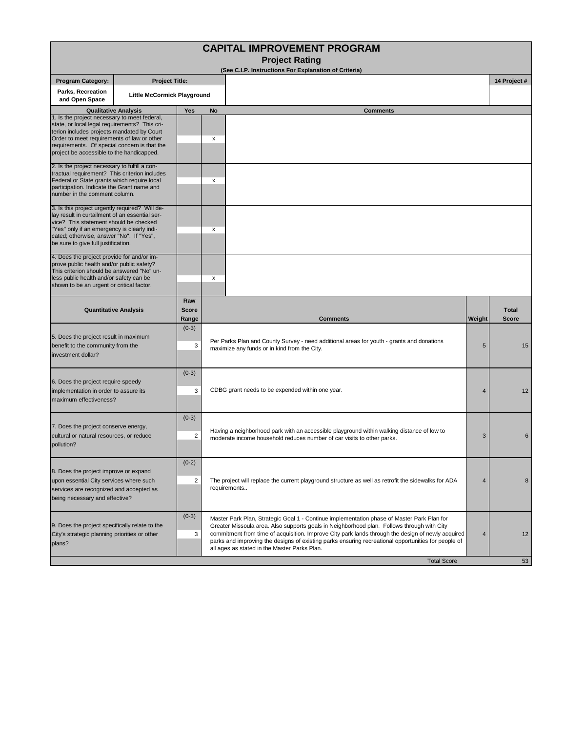| <b>Project Rating</b><br>(See C.I.P. Instructions For Explanation of Criteria)<br><b>Program Category:</b><br><b>Project Title:</b><br>Parks, Recreation<br><b>Little McCormick Playground</b><br>and Open Space<br><b>Qualitative Analysis</b><br>Yes<br>No<br><b>Comments</b><br>1. Is the project necessary to meet federal,<br>state, or local legal requirements? This cri-<br>terion includes projects mandated by Court<br>Order to meet requirements of law or other<br>х<br>requirements. Of special concern is that the<br>project be accessible to the handicapped.    |                                      | 14 Project #                 |
|-----------------------------------------------------------------------------------------------------------------------------------------------------------------------------------------------------------------------------------------------------------------------------------------------------------------------------------------------------------------------------------------------------------------------------------------------------------------------------------------------------------------------------------------------------------------------------------|--------------------------------------|------------------------------|
|                                                                                                                                                                                                                                                                                                                                                                                                                                                                                                                                                                                   |                                      |                              |
|                                                                                                                                                                                                                                                                                                                                                                                                                                                                                                                                                                                   |                                      |                              |
|                                                                                                                                                                                                                                                                                                                                                                                                                                                                                                                                                                                   |                                      |                              |
|                                                                                                                                                                                                                                                                                                                                                                                                                                                                                                                                                                                   |                                      |                              |
|                                                                                                                                                                                                                                                                                                                                                                                                                                                                                                                                                                                   |                                      |                              |
| 2. Is the project necessary to fulfill a con-<br>tractual requirement? This criterion includes<br>Federal or State grants which require local<br>х<br>participation. Indicate the Grant name and<br>number in the comment column.                                                                                                                                                                                                                                                                                                                                                 |                                      |                              |
| 3. Is this project urgently required? Will de-<br>lay result in curtailment of an essential ser-<br>vice? This statement should be checked<br>"Yes" only if an emergency is clearly indi-<br>х<br>cated; otherwise, answer "No". If "Yes",<br>be sure to give full justification.                                                                                                                                                                                                                                                                                                 |                                      |                              |
| 4. Does the project provide for and/or im-<br>prove public health and/or public safety?<br>This criterion should be answered "No" un-<br>less public health and/or safety can be<br>х<br>shown to be an urgent or critical factor.                                                                                                                                                                                                                                                                                                                                                |                                      |                              |
| Raw<br><b>Score</b><br><b>Quantitative Analysis</b><br>Range<br><b>Comments</b>                                                                                                                                                                                                                                                                                                                                                                                                                                                                                                   | Weight                               | <b>Total</b><br><b>Score</b> |
| $(0-3)$<br>5. Does the project result in maximum<br>Per Parks Plan and County Survey - need additional areas for youth - grants and donations<br>benefit to the community from the<br>3<br>maximize any funds or in kind from the City.<br>investment dollar?                                                                                                                                                                                                                                                                                                                     | 5                                    | 15                           |
| $(0-3)$<br>6. Does the project require speedy<br>CDBG grant needs to be expended within one year.<br>implementation in order to assure its<br>3<br>maximum effectiveness?                                                                                                                                                                                                                                                                                                                                                                                                         | 4                                    | 12                           |
| $(0-3)$<br>7. Does the project conserve energy,<br>Having a neighborhood park with an accessible playground within walking distance of low to<br>cultural or natural resources, or reduce<br>2<br>moderate income household reduces number of car visits to other parks.<br>pollution?                                                                                                                                                                                                                                                                                            | 3                                    | 6                            |
| $(0-2)$<br>8. Does the project improve or expand<br>upon essential City services where such<br>2<br>The project will replace the current playground structure as well as retrofit the sidewalks for ADA<br>requirements<br>services are recognized and accepted as<br>being necessary and effective?                                                                                                                                                                                                                                                                              | $\overline{4}$                       | 8                            |
| $(0-3)$<br>Master Park Plan, Strategic Goal 1 - Continue implementation phase of Master Park Plan for<br>9. Does the project specifically relate to the<br>Greater Missoula area. Also supports goals in Neighborhood plan. Follows through with City<br>commitment from time of acquisition. Improve City park lands through the design of newly acquired<br>City's strategic planning priorities or other<br>3<br>parks and improving the designs of existing parks ensuring recreational opportunities for people of<br>plans?<br>all ages as stated in the Master Parks Plan. | $\overline{4}$<br><b>Total Score</b> | 12<br>53                     |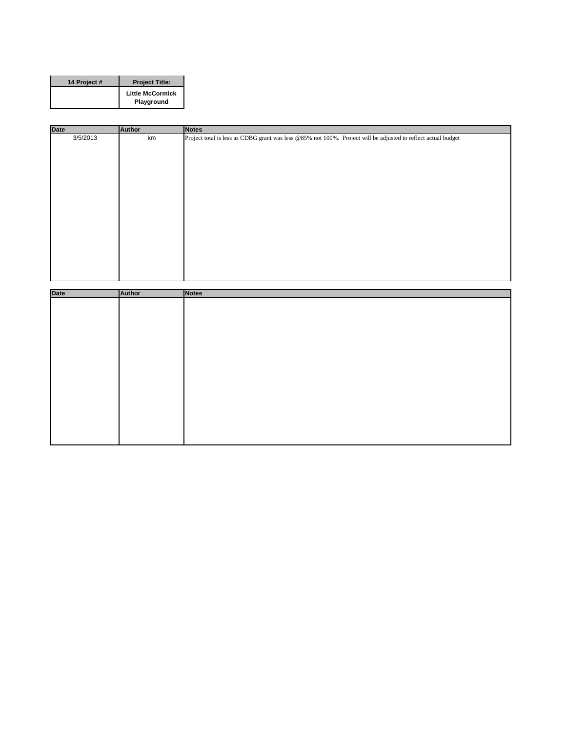| 14 Project # | <b>Project Title:</b>                 |
|--------------|---------------------------------------|
|              | <b>Little McCormick</b><br>Playground |

| <b>Date</b> | Author | <b>Notes</b>                                                                                                  |
|-------------|--------|---------------------------------------------------------------------------------------------------------------|
| 3/5/2013    | km     | Project total is less as CDBG grant was less @85% not 100%. Project will be adjusted to reflect actual budget |
|             |        |                                                                                                               |
|             |        |                                                                                                               |
|             |        |                                                                                                               |
|             |        |                                                                                                               |
|             |        |                                                                                                               |
|             |        |                                                                                                               |
|             |        |                                                                                                               |
|             |        |                                                                                                               |
|             |        |                                                                                                               |
|             |        |                                                                                                               |
|             |        |                                                                                                               |

| <b>Date</b> | Author | Notes |
|-------------|--------|-------|
|             |        |       |
|             |        |       |
|             |        |       |
|             |        |       |
|             |        |       |
|             |        |       |
|             |        |       |
|             |        |       |
|             |        |       |
|             |        |       |
|             |        |       |
|             |        |       |
|             |        |       |
|             |        |       |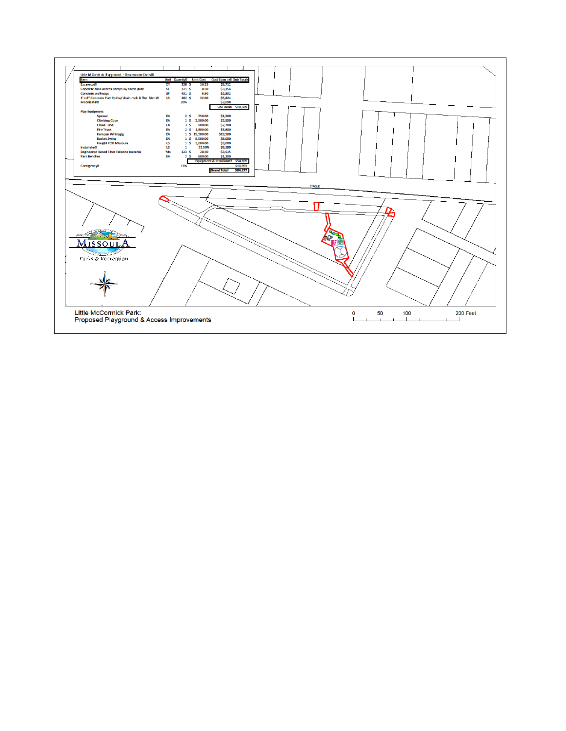